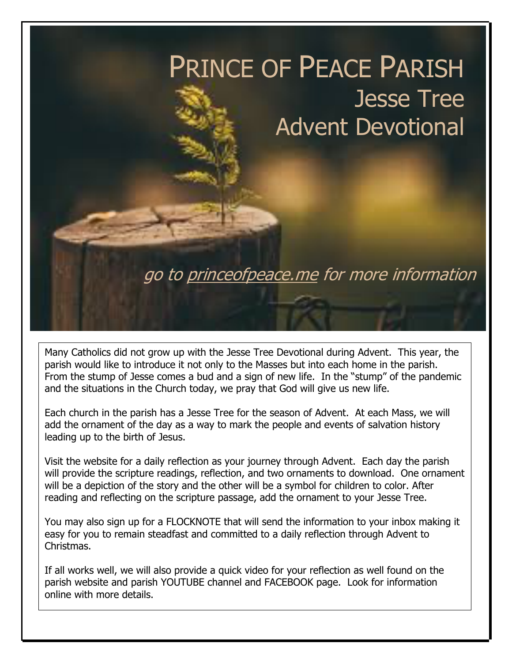

Many Catholics did not grow up with the Jesse Tree Devotional during Advent. This year, the parish would like to introduce it not only to the Masses but into each home in the parish. From the stump of Jesse comes a bud and a sign of new life. In the "stump" of the pandemic and the situations in the Church today, we pray that God will give us new life.

Each church in the parish has a Jesse Tree for the season of Advent. At each Mass, we will add the ornament of the day as a way to mark the people and events of salvation history leading up to the birth of Jesus.

Visit the website for a daily reflection as your journey through Advent. Each day the parish will provide the scripture readings, reflection, and two ornaments to download. One ornament will be a depiction of the story and the other will be a symbol for children to color. After reading and reflecting on the scripture passage, add the ornament to your Jesse Tree.

You may also sign up for a FLOCKNOTE that will send the information to your inbox making it easy for you to remain steadfast and committed to a daily reflection through Advent to Christmas.

If all works well, we will also provide a quick video for your reflection as well found on the parish website and parish YOUTUBE channel and FACEBOOK page. Look for information online with more details.